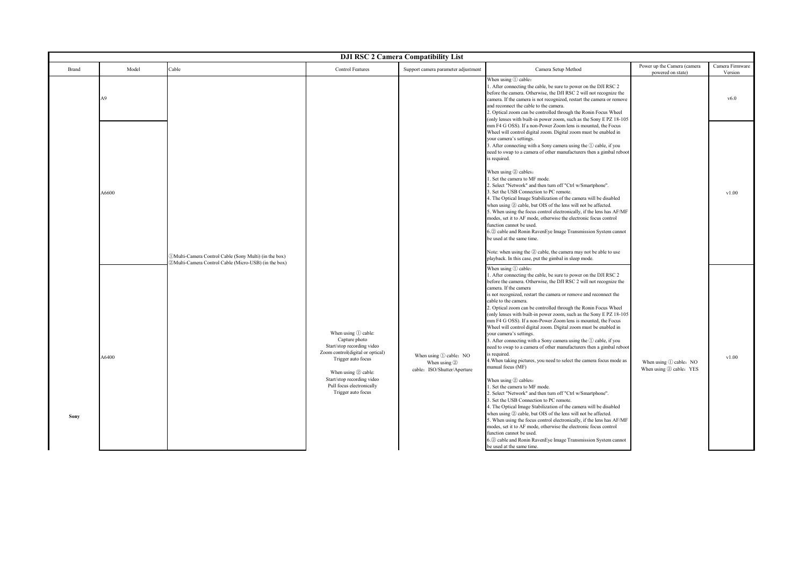| <b>DJI RSC 2 Camera Compatibility List</b> |       |                                                        |                                                                                                                                                                                                                                          |                                                                           |                                                                                                                                                                                                                                                                                                                                                                                                                                                                                                                                                                                                                                                                                                                                                                                                                                                                                                                                                                                                                                                                                                                                                                                                                                                                                                                                                                                                                                                                                         |                                                   |                            |  |  |  |
|--------------------------------------------|-------|--------------------------------------------------------|------------------------------------------------------------------------------------------------------------------------------------------------------------------------------------------------------------------------------------------|---------------------------------------------------------------------------|-----------------------------------------------------------------------------------------------------------------------------------------------------------------------------------------------------------------------------------------------------------------------------------------------------------------------------------------------------------------------------------------------------------------------------------------------------------------------------------------------------------------------------------------------------------------------------------------------------------------------------------------------------------------------------------------------------------------------------------------------------------------------------------------------------------------------------------------------------------------------------------------------------------------------------------------------------------------------------------------------------------------------------------------------------------------------------------------------------------------------------------------------------------------------------------------------------------------------------------------------------------------------------------------------------------------------------------------------------------------------------------------------------------------------------------------------------------------------------------------|---------------------------------------------------|----------------------------|--|--|--|
| Brand                                      | Model | Cable                                                  | <b>Control Features</b>                                                                                                                                                                                                                  | Support camera parameter adjustment                                       | Camera Setup Method                                                                                                                                                                                                                                                                                                                                                                                                                                                                                                                                                                                                                                                                                                                                                                                                                                                                                                                                                                                                                                                                                                                                                                                                                                                                                                                                                                                                                                                                     | Power up the Camera (camera<br>powered on state)  | Camera Firmware<br>Version |  |  |  |
|                                            | A9    |                                                        |                                                                                                                                                                                                                                          |                                                                           | When using 1 cable:<br>1. After connecting the cable, be sure to power on the DJI RSC 2<br>before the camera. Otherwise, the DJI RSC 2 will not recognize the<br>camera. If the camera is not recognized, restart the camera or remove<br>and reconnect the cable to the camera.<br>2. Optical zoom can be controlled through the Ronin Focus Wheel<br>(only lenses with built-in power zoom, such as the Sony E PZ 18-105                                                                                                                                                                                                                                                                                                                                                                                                                                                                                                                                                                                                                                                                                                                                                                                                                                                                                                                                                                                                                                                              |                                                   | v6.0                       |  |  |  |
|                                            | A6600 | DMulti-Camera Control Cable (Sony Multi) (in the box)  |                                                                                                                                                                                                                                          |                                                                           | mm F4 G OSS). If a non-Power Zoom lens is mounted, the Focus<br>Wheel will control digital zoom. Digital zoom must be enabled in<br>your camera's settings.<br>3. After connecting with a Sony camera using the $\Omega$ cable, if you<br>need to swap to a camera of other manufacturers then a gimbal reboot<br>is required.<br>When using 2 cables:<br>. Set the camera to MF mode.<br>'. Select "Network" and then turn off "Ctrl w/Smartphone".<br>. Set the USB Connection to PC remote.<br>4. The Optical Image Stabilization of the camera will be disabled<br>when using 2 cable, but OIS of the lens will not be affected.<br>5. When using the focus control electronically, if the lens has AF/MF<br>modes, set it to AF mode, otherwise the electronic focus control<br>function cannot be used.<br>6.2 cable and Ronin RavenEye Image Transmission System cannot<br>be used at the same time.<br>Note: when using the 2 cable, the camera may not be able to use                                                                                                                                                                                                                                                                                                                                                                                                                                                                                                          |                                                   | v1.00                      |  |  |  |
| Sony                                       | A6400 | 2) Multi-Camera Control Cable (Micro-USB) (in the box) | When using ① cable:<br>Capture photo<br>Start/stop recording video<br>Zoom control(digital or optical)<br>Trigger auto focus<br>When using $(2)$ cable:<br>Start/stop recording video<br>Pull focus electronically<br>Trigger auto focus | When using 1 cable: NO<br>When using $(2)$<br>cable: ISO/Shutter/Aperture | playback. In this case, put the gimbal in sleep mode.<br>When using (1) cable:<br>. After connecting the cable, be sure to power on the DJI RSC 2<br>before the camera. Otherwise, the DJI RSC 2 will not recognize the<br>camera. If the camera<br>is not recognized, restart the camera or remove and reconnect the<br>cable to the camera.<br>2. Optical zoom can be controlled through the Ronin Focus Wheel<br>(only lenses with built-in power zoom, such as the Sony E PZ 18-105<br>mm F4 G OSS). If a non-Power Zoom lens is mounted, the Focus<br>Wheel will control digital zoom. Digital zoom must be enabled in<br>your camera's settings.<br>3. After connecting with a Sony camera using the 1 cable, if you<br>need to swap to a camera of other manufacturers then a gimbal reboot<br>is required.<br>4. When taking pictures, you need to select the camera focus mode as<br>nanual focus (MF)<br>When using 2 cables:<br>. Set the camera to MF mode.<br>. Select "Network" and then turn off "Ctrl w/Smartphone".<br>. Set the USB Connection to PC remote.<br>. The Optical Image Stabilization of the camera will be disabled<br>when using 2 cable, but OIS of the lens will not be affected.<br>When using the focus control electronically, if the lens has AF/MF<br>modes, set it to AF mode, otherwise the electronic focus control<br>function cannot be used.<br>6.2 cable and Ronin RavenEye Image Transmission System cannot<br>be used at the same time. | When using 1 cable: NO<br>When using 2 cable: YES | v1.00                      |  |  |  |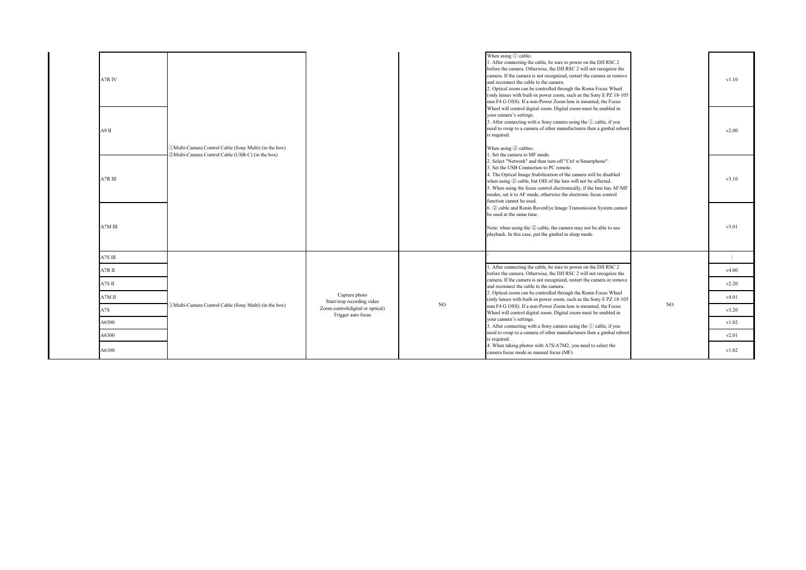| 1. After connecting the cable, be sure to power on the DJI RSC 2<br>before the camera. Otherwise, the DJI RSC 2 will not recognize the<br>camera. If the camera is not recognized, restart the camera or remove<br>A7R IV<br>v1.10<br>and reconnect the cable to the camera.<br>2. Optical zoom can be controlled through the Ronin Focus Wheel<br>(only lenses with built-in power zoom, such as the Sony E PZ 18-105<br>mm F4 G OSS). If a non-Power Zoom lens is mounted, the Focus<br>Wheel will control digital zoom. Digital zoom must be enabled in<br>your camera's settings.<br>3. After connecting with a Sony camera using the 1 cable, if you<br>need to swap to a camera of other manufacturers then a gimbal reboot<br>A9 II<br>v2.00<br>is required.<br>When using 2 cables:<br>(DMulti-Camera Control Cable (Sony Multi) (in the box)<br>2) Multi-Camera Control Cable (USB-C) (in the box)<br>. Set the camera to MF mode.<br>2. Select "Network" and then turn off "Ctrl w/Smartphone".<br>3. Set the USB Connection to PC remote.<br>4. The Optical Image Stabilization of the camera will be disabled<br>A7R III<br>v3.10<br>when using 2 cable, but OIS of the lens will not be affected.<br>5. When using the focus control electronically, if the lens has AF/MF<br>modes, set it to AF mode, otherwise the electronic focus control<br>function cannot be used.<br>6. 2 cable and Ronin RavenEye Image Transmission System cannot<br>be used at the same time.<br>A7M III<br>v3.01<br>Note: when using the 2 cable, the camera may not be able to use<br>playback. In this case, put the gimbal in sleep mode.<br>A7S III<br>$\sqrt{2}$<br>1. After connecting the cable, be sure to power on the DJI RSC 2<br>A7RII<br>v4.00<br>before the camera. Otherwise, the DJI RSC 2 will not recognize the<br>camera. If the camera is not recognized, restart the camera or remove<br>A7S II<br>v2.20<br>and reconnect the cable to the camera.<br>2. Optical zoom can be controlled through the Ronin Focus Wheel<br>Capture photo<br>$A7M$ II<br>v4.01<br>(only lenses with built-in power zoom, such as the Sony E PZ 18-105<br>Start/stop recording video<br>N <sub>O</sub><br>NO.<br>(DMulti-Camera Control Cable (Sony Multi) (in the box)<br>mm F4 G OSS). If a non-Power Zoom lens is mounted, the Focus<br>Zoom control(digital or optical)<br>A7S<br>v3.20<br>Wheel will control digital zoom. Digital zoom must be enabled in<br>Trigger auto focus<br>your camera's settings.<br>A6500<br>v1.02<br>3. After connecting with a Sony camera using the ① cable, if you<br>need to swap to a camera of other manufacturers then a gimbal reboot<br>A6300<br>v2.01<br>is required.<br>4. When taking photos with A7S/A7M2, you need to select the<br>A6100<br>v1.02<br>camera focus mode as manual focus (MF) |  |  |  |  |                         |  |
|----------------------------------------------------------------------------------------------------------------------------------------------------------------------------------------------------------------------------------------------------------------------------------------------------------------------------------------------------------------------------------------------------------------------------------------------------------------------------------------------------------------------------------------------------------------------------------------------------------------------------------------------------------------------------------------------------------------------------------------------------------------------------------------------------------------------------------------------------------------------------------------------------------------------------------------------------------------------------------------------------------------------------------------------------------------------------------------------------------------------------------------------------------------------------------------------------------------------------------------------------------------------------------------------------------------------------------------------------------------------------------------------------------------------------------------------------------------------------------------------------------------------------------------------------------------------------------------------------------------------------------------------------------------------------------------------------------------------------------------------------------------------------------------------------------------------------------------------------------------------------------------------------------------------------------------------------------------------------------------------------------------------------------------------------------------------------------------------------------------------------------------------------------------------------------------------------------------------------------------------------------------------------------------------------------------------------------------------------------------------------------------------------------------------------------------------------------------------------------------------------------------------------------------------------------------------------------------------------------------------------------------------------------------------------------------------------------------------------------------------------------------------------------------------------------------------------------------|--|--|--|--|-------------------------|--|
|                                                                                                                                                                                                                                                                                                                                                                                                                                                                                                                                                                                                                                                                                                                                                                                                                                                                                                                                                                                                                                                                                                                                                                                                                                                                                                                                                                                                                                                                                                                                                                                                                                                                                                                                                                                                                                                                                                                                                                                                                                                                                                                                                                                                                                                                                                                                                                                                                                                                                                                                                                                                                                                                                                                                                                                                                                        |  |  |  |  | When using $(1)$ cable: |  |
|                                                                                                                                                                                                                                                                                                                                                                                                                                                                                                                                                                                                                                                                                                                                                                                                                                                                                                                                                                                                                                                                                                                                                                                                                                                                                                                                                                                                                                                                                                                                                                                                                                                                                                                                                                                                                                                                                                                                                                                                                                                                                                                                                                                                                                                                                                                                                                                                                                                                                                                                                                                                                                                                                                                                                                                                                                        |  |  |  |  |                         |  |
|                                                                                                                                                                                                                                                                                                                                                                                                                                                                                                                                                                                                                                                                                                                                                                                                                                                                                                                                                                                                                                                                                                                                                                                                                                                                                                                                                                                                                                                                                                                                                                                                                                                                                                                                                                                                                                                                                                                                                                                                                                                                                                                                                                                                                                                                                                                                                                                                                                                                                                                                                                                                                                                                                                                                                                                                                                        |  |  |  |  |                         |  |
|                                                                                                                                                                                                                                                                                                                                                                                                                                                                                                                                                                                                                                                                                                                                                                                                                                                                                                                                                                                                                                                                                                                                                                                                                                                                                                                                                                                                                                                                                                                                                                                                                                                                                                                                                                                                                                                                                                                                                                                                                                                                                                                                                                                                                                                                                                                                                                                                                                                                                                                                                                                                                                                                                                                                                                                                                                        |  |  |  |  |                         |  |
|                                                                                                                                                                                                                                                                                                                                                                                                                                                                                                                                                                                                                                                                                                                                                                                                                                                                                                                                                                                                                                                                                                                                                                                                                                                                                                                                                                                                                                                                                                                                                                                                                                                                                                                                                                                                                                                                                                                                                                                                                                                                                                                                                                                                                                                                                                                                                                                                                                                                                                                                                                                                                                                                                                                                                                                                                                        |  |  |  |  |                         |  |
|                                                                                                                                                                                                                                                                                                                                                                                                                                                                                                                                                                                                                                                                                                                                                                                                                                                                                                                                                                                                                                                                                                                                                                                                                                                                                                                                                                                                                                                                                                                                                                                                                                                                                                                                                                                                                                                                                                                                                                                                                                                                                                                                                                                                                                                                                                                                                                                                                                                                                                                                                                                                                                                                                                                                                                                                                                        |  |  |  |  |                         |  |
|                                                                                                                                                                                                                                                                                                                                                                                                                                                                                                                                                                                                                                                                                                                                                                                                                                                                                                                                                                                                                                                                                                                                                                                                                                                                                                                                                                                                                                                                                                                                                                                                                                                                                                                                                                                                                                                                                                                                                                                                                                                                                                                                                                                                                                                                                                                                                                                                                                                                                                                                                                                                                                                                                                                                                                                                                                        |  |  |  |  |                         |  |
|                                                                                                                                                                                                                                                                                                                                                                                                                                                                                                                                                                                                                                                                                                                                                                                                                                                                                                                                                                                                                                                                                                                                                                                                                                                                                                                                                                                                                                                                                                                                                                                                                                                                                                                                                                                                                                                                                                                                                                                                                                                                                                                                                                                                                                                                                                                                                                                                                                                                                                                                                                                                                                                                                                                                                                                                                                        |  |  |  |  |                         |  |
|                                                                                                                                                                                                                                                                                                                                                                                                                                                                                                                                                                                                                                                                                                                                                                                                                                                                                                                                                                                                                                                                                                                                                                                                                                                                                                                                                                                                                                                                                                                                                                                                                                                                                                                                                                                                                                                                                                                                                                                                                                                                                                                                                                                                                                                                                                                                                                                                                                                                                                                                                                                                                                                                                                                                                                                                                                        |  |  |  |  |                         |  |
|                                                                                                                                                                                                                                                                                                                                                                                                                                                                                                                                                                                                                                                                                                                                                                                                                                                                                                                                                                                                                                                                                                                                                                                                                                                                                                                                                                                                                                                                                                                                                                                                                                                                                                                                                                                                                                                                                                                                                                                                                                                                                                                                                                                                                                                                                                                                                                                                                                                                                                                                                                                                                                                                                                                                                                                                                                        |  |  |  |  |                         |  |
|                                                                                                                                                                                                                                                                                                                                                                                                                                                                                                                                                                                                                                                                                                                                                                                                                                                                                                                                                                                                                                                                                                                                                                                                                                                                                                                                                                                                                                                                                                                                                                                                                                                                                                                                                                                                                                                                                                                                                                                                                                                                                                                                                                                                                                                                                                                                                                                                                                                                                                                                                                                                                                                                                                                                                                                                                                        |  |  |  |  |                         |  |
|                                                                                                                                                                                                                                                                                                                                                                                                                                                                                                                                                                                                                                                                                                                                                                                                                                                                                                                                                                                                                                                                                                                                                                                                                                                                                                                                                                                                                                                                                                                                                                                                                                                                                                                                                                                                                                                                                                                                                                                                                                                                                                                                                                                                                                                                                                                                                                                                                                                                                                                                                                                                                                                                                                                                                                                                                                        |  |  |  |  |                         |  |
|                                                                                                                                                                                                                                                                                                                                                                                                                                                                                                                                                                                                                                                                                                                                                                                                                                                                                                                                                                                                                                                                                                                                                                                                                                                                                                                                                                                                                                                                                                                                                                                                                                                                                                                                                                                                                                                                                                                                                                                                                                                                                                                                                                                                                                                                                                                                                                                                                                                                                                                                                                                                                                                                                                                                                                                                                                        |  |  |  |  |                         |  |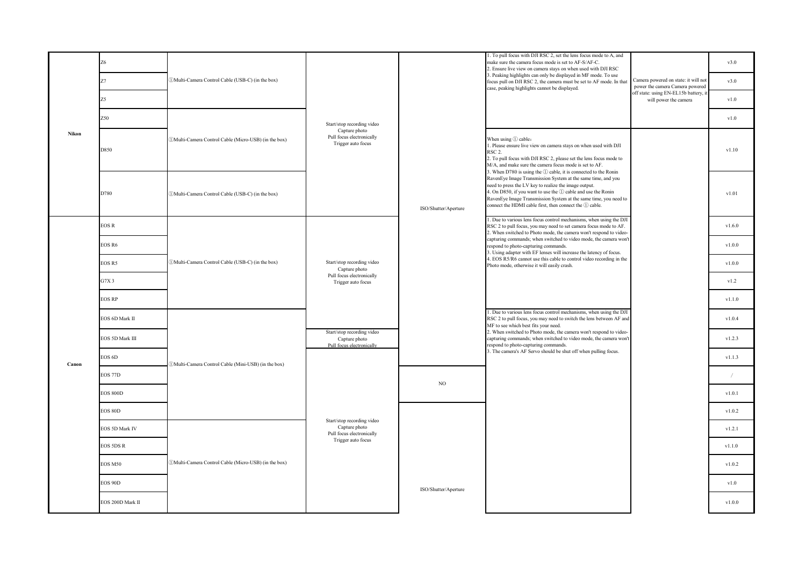|              | Z6               |                                                       |                                                                          |                      | 1. To pull focus with DJI RSC 2, set the lens focus mode to A, and<br>make sure the camera focus mode is set to AF-S/AF-C.<br>2. Ensure live view on camera stays on when used with DJI RSC                                                                                                                                                                                             |                                                                         | v3.0       |
|--------------|------------------|-------------------------------------------------------|--------------------------------------------------------------------------|----------------------|-----------------------------------------------------------------------------------------------------------------------------------------------------------------------------------------------------------------------------------------------------------------------------------------------------------------------------------------------------------------------------------------|-------------------------------------------------------------------------|------------|
|              | Z7               | (DMulti-Camera Control Cable (USB-C) (in the box)     |                                                                          |                      | 3. Peaking highlights can only be displayed in MF mode. To use<br>focus pull on DJI RSC 2, the camera must be set to AF mode. In that<br>case, peaking highlights cannot be displayed.                                                                                                                                                                                                  | Camera powered on state: it will not<br>power the camera Camera powered | v3.0       |
|              | Z5               |                                                       |                                                                          |                      |                                                                                                                                                                                                                                                                                                                                                                                         | off state: using EN-EL15b battery, it<br>will power the camera          | v1.0       |
| <b>Nikon</b> | Z50              |                                                       | Start/stop recording video                                               |                      |                                                                                                                                                                                                                                                                                                                                                                                         |                                                                         | v1.0       |
|              | D850             | (DMulti-Camera Control Cable (Micro-USB) (in the box) | Capture photo<br>Pull focus electronically<br>Trigger auto focus         |                      | When using ① cable:<br>1. Please ensure live view on camera stays on when used with DJI<br>RSC <sub>2</sub> .<br>2. To pull focus with DJI RSC 2, please set the lens focus mode to<br>M/A, and make sure the camera focus mode is set to AF.                                                                                                                                           |                                                                         | v1.10      |
|              | D780             | (DMulti-Camera Control Cable (USB-C) (in the box)     |                                                                          | ISO/Shutter/Aperture | 3. When D780 is using the 1 cable, it is connected to the Ronin<br>RavenEye Image Transmission System at the same time, and you<br>need to press the LV key to realize the image output.<br>4. On D850, if you want to use the ① cable and use the Ronin<br>RavenEye Image Transmission System at the same time, you need to<br>connect the HDMI cable first, then connect the 1 cable. |                                                                         | v1.01      |
|              | <b>EOS R</b>     |                                                       |                                                                          |                      | 1. Due to various lens focus control mechanisms, when using the DJI<br>RSC 2 to pull focus, you may need to set camera focus mode to AF.<br>2. When switched to Photo mode, the camera won't respond to video-                                                                                                                                                                          |                                                                         | v1.6.0     |
|              | EOS R6           | DMulti-Camera Control Cable (USB-C) (in the box)      |                                                                          |                      | capturing commands; when switched to video mode, the camera won't<br>respond to photo-capturing commands.<br>3. Using adapter with EF lenses will increase the latency of focus.                                                                                                                                                                                                        |                                                                         | v1.0.0     |
|              | EOS R5           |                                                       | Start/stop recording video<br>Capture photo                              |                      | 4. EOS R5/R6 cannot use this cable to control video recording in the<br>Photo mode, otherwise it will easily crash.                                                                                                                                                                                                                                                                     |                                                                         | v1.0.0     |
|              | G7X3             |                                                       | Pull focus electronically<br>Trigger auto focus                          |                      |                                                                                                                                                                                                                                                                                                                                                                                         |                                                                         | v1.2       |
|              | <b>EOS RP</b>    |                                                       |                                                                          |                      |                                                                                                                                                                                                                                                                                                                                                                                         |                                                                         | v1.1.0     |
|              | EOS 6D Mark II   |                                                       |                                                                          |                      | . Due to various lens focus control mechanisms, when using the DJI<br>RSC 2 to pull focus, you may need to switch the lens between AF and<br>MF to see which best fits your need.                                                                                                                                                                                                       |                                                                         | v1.0.4     |
|              | EOS 5D Mark III  |                                                       | Start/stop recording video<br>Capture photo<br>Pull focus electronically |                      | 2. When switched to Photo mode, the camera won't respond to video-<br>capturing commands; when switched to video mode, the camera won't<br>respond to photo-capturing commands.                                                                                                                                                                                                         |                                                                         | v1.2.3     |
| Canon        | EOS 6D           | DMulti-Camera Control Cable (Mini-USB) (in the box)   |                                                                          |                      | 3. The camera's AF Servo should be shut off when pulling focus.                                                                                                                                                                                                                                                                                                                         |                                                                         | v1.1.3     |
|              | <b>EOS 77D</b>   |                                                       |                                                                          | NO.                  |                                                                                                                                                                                                                                                                                                                                                                                         |                                                                         | $\sqrt{2}$ |
|              | <b>EOS 800D</b>  |                                                       |                                                                          |                      |                                                                                                                                                                                                                                                                                                                                                                                         |                                                                         | v1.0.1     |
|              | <b>EOS 80D</b>   |                                                       | Start/stop recording video                                               |                      |                                                                                                                                                                                                                                                                                                                                                                                         |                                                                         | v1.0.2     |
|              | EOS 5D Mark IV   |                                                       | Capture photo<br>Pull focus electronically                               |                      |                                                                                                                                                                                                                                                                                                                                                                                         |                                                                         | v1.2.1     |
|              | <b>EOS 5DS R</b> |                                                       | Trigger auto focus                                                       |                      |                                                                                                                                                                                                                                                                                                                                                                                         |                                                                         | v1.1.0     |
|              | <b>EOS M50</b>   | (DMulti-Camera Control Cable (Micro-USB) (in the box) |                                                                          |                      |                                                                                                                                                                                                                                                                                                                                                                                         |                                                                         | v1.0.2     |
|              | <b>EOS 90D</b>   |                                                       |                                                                          | ISO/Shutter/Aperture |                                                                                                                                                                                                                                                                                                                                                                                         |                                                                         | v1.0       |
|              | EOS 200D Mark II |                                                       |                                                                          |                      |                                                                                                                                                                                                                                                                                                                                                                                         |                                                                         | v1.0.0     |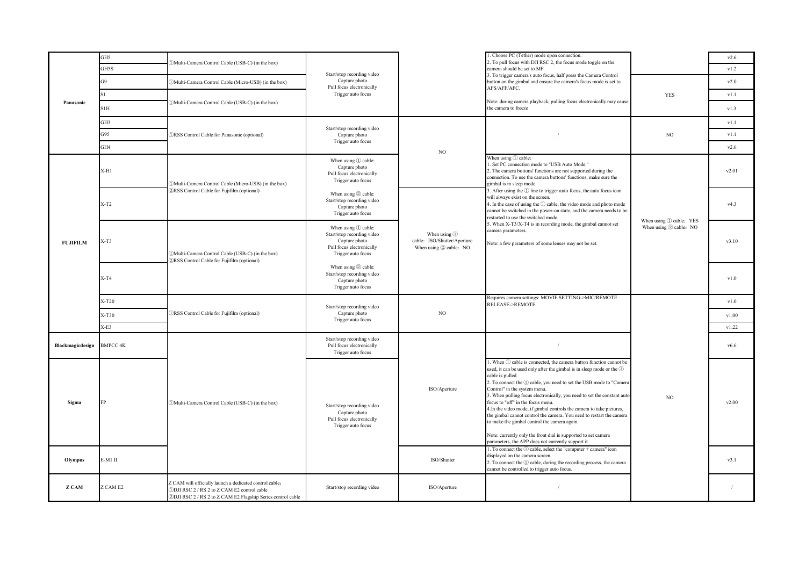|                  | GH5             | DMulti-Camera Control Cable (USB-C) (in the box)                                                                                                                        |                                                                                                                           |                                                                       | 1. Choose PC (Tether) mode upon connection.<br>2. To pull focus with DJI RSC 2, the focus mode toggle on the                                                                                                                                                                                                                                                                                                                                                                                                                                                                                                                                                                                                                                                                                                                                                                                                   |                         | v2.6          |
|------------------|-----------------|-------------------------------------------------------------------------------------------------------------------------------------------------------------------------|---------------------------------------------------------------------------------------------------------------------------|-----------------------------------------------------------------------|----------------------------------------------------------------------------------------------------------------------------------------------------------------------------------------------------------------------------------------------------------------------------------------------------------------------------------------------------------------------------------------------------------------------------------------------------------------------------------------------------------------------------------------------------------------------------------------------------------------------------------------------------------------------------------------------------------------------------------------------------------------------------------------------------------------------------------------------------------------------------------------------------------------|-------------------------|---------------|
|                  | GH5S            |                                                                                                                                                                         | Start/stop recording video                                                                                                |                                                                       | camera should be set to MF.<br>3. To trigger camera's auto focus, half press the Camera Control                                                                                                                                                                                                                                                                                                                                                                                                                                                                                                                                                                                                                                                                                                                                                                                                                |                         | v1.2          |
|                  | G9              | DMulti-Camera Control Cable (Micro-USB) (in the box)                                                                                                                    | Capture photo<br>Pull focus electronically                                                                                |                                                                       | button on the gimbal and ensure the camera's focus mode is set to<br>AFS/AFF/AFC.                                                                                                                                                                                                                                                                                                                                                                                                                                                                                                                                                                                                                                                                                                                                                                                                                              |                         | v2.0          |
|                  | S <sub>1</sub>  |                                                                                                                                                                         | Trigger auto focus                                                                                                        |                                                                       |                                                                                                                                                                                                                                                                                                                                                                                                                                                                                                                                                                                                                                                                                                                                                                                                                                                                                                                | <b>YES</b>              | v1.1          |
| Panasonic        | S1H             | (DMulti-Camera Control Cable (USB-C) (in the box)                                                                                                                       |                                                                                                                           |                                                                       | Note: during camera playback, pulling focus electronically may cause<br>the camera to freeze                                                                                                                                                                                                                                                                                                                                                                                                                                                                                                                                                                                                                                                                                                                                                                                                                   |                         | v1.3          |
|                  | GH3             |                                                                                                                                                                         | Start/stop recording video                                                                                                |                                                                       |                                                                                                                                                                                                                                                                                                                                                                                                                                                                                                                                                                                                                                                                                                                                                                                                                                                                                                                |                         | v1.1          |
|                  | G95             | <b>DRSS</b> Control Cable for Panasonic (optional)                                                                                                                      | Capture photo                                                                                                             |                                                                       |                                                                                                                                                                                                                                                                                                                                                                                                                                                                                                                                                                                                                                                                                                                                                                                                                                                                                                                | NO                      | v1.1          |
|                  | GH4             |                                                                                                                                                                         | Trigger auto focus                                                                                                        | $_{\rm NO}$                                                           |                                                                                                                                                                                                                                                                                                                                                                                                                                                                                                                                                                                                                                                                                                                                                                                                                                                                                                                |                         | v2.6          |
|                  | X-H1            | 1) Multi-Camera Control Cable (Micro-USB) (in the box)                                                                                                                  | When using ① cable:<br>Capture photo<br>Pull focus electronically<br>Trigger auto focus                                   |                                                                       | When using ① cable:<br>. Set PC connection mode to "USB Auto Mode."<br>2. The camera buttons' functions are not supported during the<br>connection. To use the camera buttons' functions, make sure the<br>gimbal is in sleep mode.                                                                                                                                                                                                                                                                                                                                                                                                                                                                                                                                                                                                                                                                            |                         | v2.01         |
|                  | $X-T2$          | <b>2RSS</b> Control Cable for Fujifilm (optional)                                                                                                                       | When using 2 cable:<br>Start/stop recording video<br>Capture photo<br>Trigger auto focus                                  |                                                                       | 3. After using the 1 line to trigger auto focus, the auto focus icon<br>will always exist on the screen.<br>4. In the case of using the 1 cable, the video mode and photo mode<br>cannot be switched in the power-on state, and the camera needs to be<br>restarted to use the switched mode.                                                                                                                                                                                                                                                                                                                                                                                                                                                                                                                                                                                                                  | When using 1 cable: YES | v4.3          |
| <b>FUJIFILM</b>  | $X-T3$          | (DMulti-Camera Control Cable (USB-C) (in the box)<br>2RSS Control Cable for Fujifilm (optional)                                                                         | When using $(i)$ cable:<br>Start/stop recording video<br>Capture photo<br>Pull focus electronically<br>Trigger auto focus | When using 1<br>cable: ISO/Shutter/Aperture<br>When using 2 cable: NO | 5. When X-T3/X-T4 is in recording mode, the gimbal cannot set<br>camera parameters.<br>Note: a few parameters of some lenses may not be set.                                                                                                                                                                                                                                                                                                                                                                                                                                                                                                                                                                                                                                                                                                                                                                   | When using 2 cable: NO  | v3.10         |
|                  | $X-T4$          |                                                                                                                                                                         | When using 2 cable:<br>Start/stop recording video<br>Capture photo<br>Trigger auto focus                                  |                                                                       |                                                                                                                                                                                                                                                                                                                                                                                                                                                                                                                                                                                                                                                                                                                                                                                                                                                                                                                |                         | v1.0          |
|                  | X-T20           |                                                                                                                                                                         | Start/stop recording video                                                                                                |                                                                       | Requires camera settings: MOVIE SETTING->MIC/REMOTE<br><b>RELEASE-&gt;REMOTE</b>                                                                                                                                                                                                                                                                                                                                                                                                                                                                                                                                                                                                                                                                                                                                                                                                                               |                         | v1.0          |
|                  | $X-T30$         | <b>IRSS</b> Control Cable for Fujifilm (optional)                                                                                                                       | Capture photo<br>Trigger auto focus                                                                                       | $_{\rm NO}$                                                           |                                                                                                                                                                                                                                                                                                                                                                                                                                                                                                                                                                                                                                                                                                                                                                                                                                                                                                                |                         | v1.00         |
|                  | $X-E3$          |                                                                                                                                                                         |                                                                                                                           |                                                                       |                                                                                                                                                                                                                                                                                                                                                                                                                                                                                                                                                                                                                                                                                                                                                                                                                                                                                                                |                         | v1.22         |
| Blackmagicdesign | <b>BMPCC 4K</b> |                                                                                                                                                                         | Start/stop recording video<br>Pull focus electronically<br>Trigger auto focus                                             |                                                                       | $\sqrt{ }$                                                                                                                                                                                                                                                                                                                                                                                                                                                                                                                                                                                                                                                                                                                                                                                                                                                                                                     |                         | v6.6          |
| Sigma<br>Olympus | E-M1 II         | (DMulti-Camera Control Cable (USB-C) (in the box)                                                                                                                       | Start/stop recording video<br>Capture photo<br>Pull focus electronically<br>Trigger auto focus                            | ISO/Aperture<br>ISO/Shutter                                           | . When $\textcircled{\tiny{1}}$ cable is connected, the camera button function cannot be<br>used, it can be used only after the gimbal is in sleep mode or the 1<br>cable is pulled.<br>2. To connect the 1 cable, you need to set the USB mode to "Camera<br>Control" in the system menu.<br>3. When pulling focus electronically, you need to set the constant auto<br>focus to "off" in the focus menu.<br>4. In the video mode, if gimbal controls the camera to take pictures,<br>the gimbal cannot control the camera. You need to restart the camera<br>to make the gimbal control the camera again.<br>Note: currently only the front dial is supported to set camera<br>parameters, the APP does not currently support it<br>1. To connect the ① cable, select the "computer + camera" icon<br>displayed on the camera screen.<br>2. To connect the ① cable, during the recording process, the camera | NO                      | v2.00<br>v3.1 |
| Z CAM            | Z CAM E2        | Z CAM will officially launch a dedicated control cable:<br>1 DJI RSC 2 / RS 2 to Z CAM E2 control cable<br>2 DJI RSC 2 / RS 2 to Z CAM E2 Flagship Series control cable | Start/stop recording video                                                                                                | ISO/Aperture                                                          | cannot be controlled to trigger auto focus.                                                                                                                                                                                                                                                                                                                                                                                                                                                                                                                                                                                                                                                                                                                                                                                                                                                                    |                         | $\sqrt{2}$    |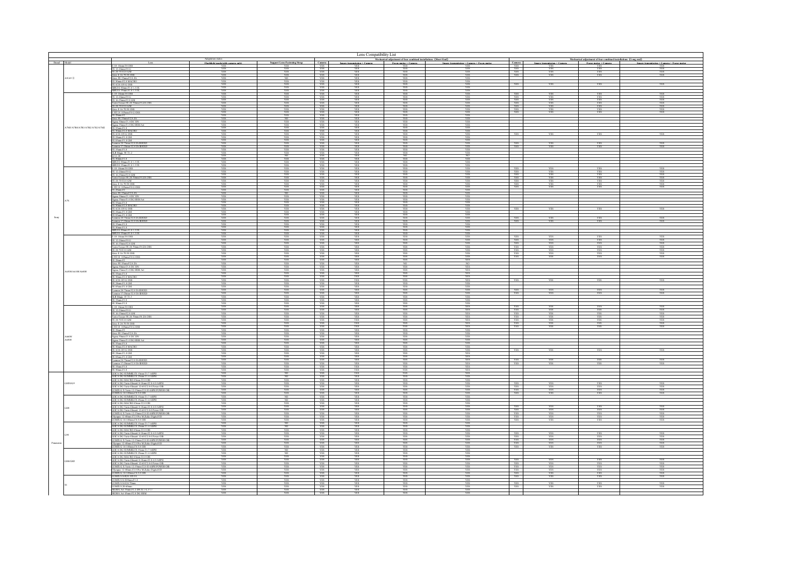| Lens Compatibility List       |                                                                                                      |                                   |            |                                                                                                                                                                                  |                             |                                                                                                   |                                           |                          |                             |                                                                                         |                                          |
|-------------------------------|------------------------------------------------------------------------------------------------------|-----------------------------------|------------|----------------------------------------------------------------------------------------------------------------------------------------------------------------------------------|-----------------------------|---------------------------------------------------------------------------------------------------|-------------------------------------------|--------------------------|-----------------------------|-----------------------------------------------------------------------------------------|------------------------------------------|
|                               |                                                                                                      | Flashlight mode(with camera only) |            |                                                                                                                                                                                  | Image transmission + Camera | Mechanical adjustment of four combined installations (Short Ead)<br>Focus motor: Camera Image tra | Image transmission + Camera + Focus motor |                          | Image transmission + Camera | Iccharical adjustment of four combined installations [Long end]<br>Focus motor + Camera | Image transmission + Camera + Focus moto |
|                               |                                                                                                      |                                   |            | Camera<br>YES                                                                                                                                                                    |                             |                                                                                                   |                                           |                          |                             |                                                                                         |                                          |
|                               | 24-70 F2.8 GM<br>s E 16-70                                                                           |                                   |            | $\frac{Y}{Y}$<br>YES                                                                                                                                                             |                             |                                                                                                   |                                           |                          |                             |                                                                                         |                                          |
| A9/A9                         | ss FE 35mm F2.82                                                                                     |                                   |            | YES<br>YES                                                                                                                                                                       |                             |                                                                                                   |                                           |                          |                             |                                                                                         |                                          |
|                               |                                                                                                      |                                   |            | <b>YES</b><br>YES                                                                                                                                                                |                             |                                                                                                   |                                           | <b>YES</b>               |                             |                                                                                         |                                          |
|                               | UIE 35mm F1.8                                                                                        |                                   |            | YES<br>YES                                                                                                                                                                       |                             |                                                                                                   |                                           |                          |                             |                                                                                         |                                          |
|                               | 12-24mm F4 C<br>6-35mm F2.8 G1                                                                       |                                   |            | YES<br>YES                                                                                                                                                                       |                             |                                                                                                   |                                           | <b>YES</b>               |                             |                                                                                         |                                          |
|                               | ario-Tessar FE 24-70mm F4 ZA OSS<br>24-70 F2.8 GM                                                    |                                   |            | YES<br>YES                                                                                                                                                                       |                             |                                                                                                   |                                           | YES<br>YES               |                             |                                                                                         |                                          |
|                               | ss E 16-70 F4 O<br>18-105mm F4                                                                       |                                   |            | - YES<br><b>YES</b>                                                                                                                                                              |                             |                                                                                                   |                                           | YES                      |                             |                                                                                         |                                          |
|                               | tiss FE 35mm F2.8 ZA                                                                                 |                                   |            | <b>YES</b><br><b>YES</b>                                                                                                                                                         |                             |                                                                                                   |                                           |                          |                             |                                                                                         |                                          |
|                               | na 30mm f/1.4 DC                                                                                     |                                   |            | $\frac{YES}{YES}$                                                                                                                                                                |                             |                                                                                                   |                                           |                          |                             |                                                                                         |                                          |
| A7M3/A7R4/A7R3/A7R2/A7S2/A7M2 | a 35mm f1.4 DC<br>5mm F1.8<br>0mm F2.8 MAC                                                           |                                   |            | YES<br>YES                                                                                                                                                                       |                             |                                                                                                   |                                           |                          |                             |                                                                                         |                                          |
|                               | 4/24-105 G OSS<br>E 24mm F1.4 GM                                                                     |                                   |            | YES                                                                                                                                                                              |                             |                                                                                                   |                                           |                          |                             |                                                                                         |                                          |
|                               | E 85mm F1.4 GM<br>amron 28-75mm F2.8 Di III F                                                        |                                   |            | YES<br>YES                                                                                                                                                                       |                             |                                                                                                   |                                           |                          |                             |                                                                                         |                                          |
|                               | ron 17-28mm f/2.1<br>mnFLS                                                                           |                                   |            | YES<br>YES                                                                                                                                                                       |                             |                                                                                                   |                                           |                          |                             |                                                                                         |                                          |
|                               |                                                                                                      |                                   |            | YES                                                                                                                                                                              |                             |                                                                                                   |                                           |                          |                             |                                                                                         |                                          |
|                               |                                                                                                      |                                   |            |                                                                                                                                                                                  |                             |                                                                                                   |                                           |                          |                             |                                                                                         |                                          |
|                               | UI E 35mm F1.8<br>10-18mm F4 OSS                                                                     |                                   |            | $\begin{tabular}{c} 1B \\ \hline YES \\ YES \\ YES \end{tabular}$                                                                                                                |                             |                                                                                                   |                                           | YES                      |                             |                                                                                         |                                          |
|                               | 2-24mm F4+<br>16-35mm F2.8 GM                                                                        |                                   |            | YES<br><b>YES</b>                                                                                                                                                                |                             |                                                                                                   |                                           | - YES                    |                             |                                                                                         |                                          |
|                               | o-Tessar FE 24-7<br>Omn F4 ZA OS<br>20 F2 8 GA                                                       |                                   |            | YES<br>$\frac{\text{YBS}}{\text{YBS}}$                                                                                                                                           |                             |                                                                                                   |                                           | YES<br><b>VFS</b>        |                             |                                                                                         |                                          |
|                               |                                                                                                      |                                   |            |                                                                                                                                                                                  |                             |                                                                                                   |                                           |                          |                             |                                                                                         |                                          |
|                               | E 35mm F2.8 ZA                                                                                       |                                   |            | $\begin{array}{r}\n\text{VBS} \\ \text{VBS} \\ \text{VES} \\ \text{VES}\n\end{array}$                                                                                            |                             |                                                                                                   |                                           |                          |                             |                                                                                         |                                          |
|                               |                                                                                                      |                                   |            | YES<br><b>YES</b>                                                                                                                                                                |                             |                                                                                                   |                                           |                          |                             |                                                                                         |                                          |
|                               | 1 F <sub>2.8</sub> MA                                                                                |                                   |            | YES<br>YES                                                                                                                                                                       |                             |                                                                                                   |                                           |                          |                             |                                                                                         |                                          |
|                               |                                                                                                      |                                   |            | YES<br>YES                                                                                                                                                                       |                             |                                                                                                   |                                           |                          |                             |                                                                                         |                                          |
|                               |                                                                                                      |                                   |            | $\frac{\text{VBS}}{\text{VBS}}$                                                                                                                                                  |                             |                                                                                                   |                                           |                          |                             |                                                                                         |                                          |
|                               |                                                                                                      |                                   |            | $\begin{tabular}{c} 1B \\ \hline YBS \\ YBS \\ YBS \\ YBS \\ YBS \\ YBS \\ YBS \\ YBS \\ YBS \\ \end{tabular}$                                                                   |                             |                                                                                                   |                                           | <b>YES</b>               |                             |                                                                                         |                                          |
|                               |                                                                                                      |                                   |            |                                                                                                                                                                                  |                             |                                                                                                   |                                           |                          |                             |                                                                                         |                                          |
|                               | 0-18mm F4 OSS                                                                                        | YES                               | <b>YES</b> |                                                                                                                                                                                  | <b>YES</b>                  |                                                                                                   | YES                                       | <b>YES</b>               | YES                         | YES                                                                                     |                                          |
|                               | 2-24mm F4 C                                                                                          |                                   |            | <b>YES</b><br>YES                                                                                                                                                                |                             |                                                                                                   |                                           | YES<br><b>YES</b>        |                             |                                                                                         |                                          |
|                               | essar FE 24-7                                                                                        |                                   |            | YES<br>YES                                                                                                                                                                       |                             |                                                                                                   |                                           |                          |                             |                                                                                         |                                          |
|                               | 18.105mm F4 G OS                                                                                     | <b>YES</b>                        |            | YES<br><b>YES</b>                                                                                                                                                                |                             |                                                                                                   | <b>YES</b>                                | <b>YES</b>               |                             |                                                                                         |                                          |
|                               | ss FE 35mm F2.8 ZA                                                                                   | YES                               |            | $rac{1}{YES}$                                                                                                                                                                    |                             |                                                                                                   | YES                                       |                          |                             |                                                                                         |                                          |
|                               | ma 30mm f/l 4 DC<br>gma 35mm f1.4 DG HSM Art                                                         | <b>YES</b>                        | <b>YES</b> | YES<br><b>YES</b>                                                                                                                                                                | <b>YES</b>                  | <b>YES</b>                                                                                        | <b>YES</b>                                |                          |                             |                                                                                         |                                          |
| A6300/A6100/A6400             | S0mm F2.8 MACR                                                                                       | YES                               |            | YES<br>YES                                                                                                                                                                       | YES                         |                                                                                                   |                                           |                          |                             |                                                                                         |                                          |
|                               | 4/24-105 G OS                                                                                        | YES                               | YES        | YES<br><b>YES</b>                                                                                                                                                                | YES                         |                                                                                                   | YES                                       |                          |                             |                                                                                         |                                          |
|                               | FE 24mm FL4 GM<br>FE 35mm FL4 GM                                                                     |                                   |            | YES<br>YES<br>YES                                                                                                                                                                |                             |                                                                                                   |                                           |                          |                             |                                                                                         |                                          |
|                               | mron 28-75mm F2.8 Di III RXD<br>rron 17-28mm f/2.8 Di III RXII<br><b>LR Manc 35 T1.3</b>             | <b>YES</b><br>YES                 |            | YES                                                                                                                                                                              |                             |                                                                                                   | YES                                       | YES<br>YES               | YES<br>YES                  | YES                                                                                     |                                          |
|                               |                                                                                                      |                                   |            |                                                                                                                                                                                  |                             |                                                                                                   |                                           |                          |                             |                                                                                         |                                          |
|                               | $60$ rm $F1.8$<br>0-18mm F4 OSS                                                                      | YES<br>YES                        |            | YES<br>YES<br>YES                                                                                                                                                                | YES                         |                                                                                                   | YES                                       | <b>YES</b>               |                             |                                                                                         |                                          |
|                               | 12-24mm F4 G<br>r<br>E 16-35mm F2.8 GM<br>fario-Tessar FE 24-70mm F4 ZA OSS                          | <b>YES</b>                        |            | <b>YES</b><br>$\frac{\text{VES}}{\text{VES}}$                                                                                                                                    |                             |                                                                                                   | <b>YES</b>                                | <b>YES</b><br><b>YES</b> | YES<br>YES                  |                                                                                         |                                          |
|                               | 4-70 F2.8 GM                                                                                         |                                   |            | <b>YES</b>                                                                                                                                                                       |                             |                                                                                                   |                                           | YES<br><b>YES</b>        |                             |                                                                                         |                                          |
|                               | « F. 24.20 F4 O                                                                                      |                                   |            | <b>YES</b><br>$rac{1}{YES}$                                                                                                                                                      |                             |                                                                                                   |                                           | <b>YES</b><br><b>YES</b> |                             |                                                                                         |                                          |
|                               | sss FE 35mm F2.8 ZA                                                                                  | <b>VES</b><br><b>YES</b>          |            | YES                                                                                                                                                                              |                             |                                                                                                   | <b>YES</b><br>YES                         |                          |                             |                                                                                         |                                          |
| A6600<br>A6500                | отка 30mm f/L4 DC DN<br>1911а 35mm fl.4 DG HSM Art                                                   | YES <sup>-</sup>                  | <b>YES</b> | YES<br>YES<br>YES<br>YES                                                                                                                                                         | <b>YES</b>                  | <b>VFS</b>                                                                                        | YES                                       |                          |                             |                                                                                         |                                          |
|                               | Smm F1.8<br><b>S0mm F2.8 MACRO</b>                                                                   | YES<br>YES                        |            |                                                                                                                                                                                  | YES<br>YES                  | <b>YES</b><br><b>YES</b>                                                                          | YES<br>YES                                |                          |                             |                                                                                         |                                          |
|                               | 4/24-105 G OS<br>E 24mm F1.4 GM                                                                      | <b>YES</b>                        | <b>YFS</b> | YES<br><b>YES</b>                                                                                                                                                                | <b>YES</b>                  | <b>YF</b>                                                                                         | <b>YES</b>                                | <b>YES</b>               |                             |                                                                                         |                                          |
|                               | mron 28-75mm F2.8 Di III RXD                                                                         | YES                               |            | $rac{1}{YES}$                                                                                                                                                                    |                             |                                                                                                   | YES                                       | <b>YES</b>               |                             |                                                                                         |                                          |
|                               | rron 17-28mm f/2.8 Di III RXD                                                                        |                                   |            | YES                                                                                                                                                                              |                             |                                                                                                   | <b>YES</b>                                | YES                      | <b>YES</b>                  |                                                                                         |                                          |
|                               |                                                                                                      |                                   |            |                                                                                                                                                                                  |                             |                                                                                                   |                                           |                          |                             |                                                                                         |                                          |
|                               | ECA DG SUMMILUX 15mm (F1.7 ASPH)<br>ECA DG SUMMILUX 25mm (F1.4 ASPH)<br>EICA DG MACRO 45mm f/2.8 OIS | YES                               |            | $\begin{tabular}{c} \hline & \text{YES} \\ \hline \text{YES} \\ \hline \text{YES} \\ \hline \text{YES} \\ \hline \end{tabular}$<br>YES                                           |                             |                                                                                                   | <b>YES</b>                                |                          |                             |                                                                                         |                                          |
| GH5S/G9                       | EICA DG Vario-Elmarit 8-18mm f/2.8-4.0 ASPH<br>EICA DG Vario-Elmarit 12-60 f/2.8-4 Power OIS         |                                   |            | YES                                                                                                                                                                              |                             |                                                                                                   |                                           |                          |                             |                                                                                         |                                          |
|                               | IIX G X Vario 12-35mm f/2.8 II ASPH POWER O                                                          | YES<br><b>YES</b>                 |            | <b>YES</b>                                                                                                                                                                       | <b>YES</b>                  |                                                                                                   | YES                                       | YES <sup>-1</sup><br>YES | <b>YES</b><br><b>YES</b>    | YES<br><b>YES</b>                                                                       |                                          |
|                               | mm fi4.5 8 OB                                                                                        |                                   |            | <b>YES</b><br>$\frac{\text{VBS}}{\text{VBS}}$                                                                                                                                    |                             |                                                                                                   |                                           | <b>YES</b>               |                             |                                                                                         |                                          |
|                               | A DG SUMMILUX 15mm F1.7 ASPH<br>A DG SUMMILUX 25mm F1.4 ASPH<br>ECA DG MACRO 45mm f/2.8 OIS          | YES <sup>-</sup>                  |            | <b>YES</b>                                                                                                                                                                       |                             |                                                                                                   | <b>YES</b>                                |                          |                             |                                                                                         |                                          |
|                               | <sup>2</sup> A DG Vario, Flmarit 8, ISmm (22 S.4 0 ASPH<br>mt 12-60 f/2.8-4 Power OI                 |                                   |            | <b>YES</b>                                                                                                                                                                       |                             |                                                                                                   |                                           | <b>YES</b>               |                             |                                                                                         |                                          |
|                               | imm f/2.8 II ASPH POWE<br>m f/2.8 Pro M.Zaiko Digital ED                                             |                                   |            | $rac{1}{\sqrt{12}}$<br>YES                                                                                                                                                       |                             |                                                                                                   |                                           | YES<br><b>YES</b>        | <b>YES</b>                  |                                                                                         |                                          |
|                               | IX G 14-140mm f/4-5.8 OIS                                                                            | <b>YES</b><br>YES                 |            |                                                                                                                                                                                  |                             |                                                                                                   | <b>YES</b><br><b>YES</b>                  | YES                      |                             |                                                                                         |                                          |
|                               | ICA DG SUMMILUX 15mm f1.7 ASPH<br>ICA DG SUMMILUX 25mm f1.4 ASPH                                     |                                   |            | $\begin{tabular}{c} \color{red}{\textbf{YES}} \\ \color{red}{\textbf{YES}} \\ \color{red}{\textbf{YES}} \\ \color{red}{\textbf{YES}} \\ \color{red}{\textbf{YES}} \end{tabular}$ |                             |                                                                                                   |                                           |                          |                             |                                                                                         |                                          |
|                               | EICA DG MACRO 45mm #2.8 OIS<br>CA DG Vario-Elmarit 8-18mm f 2.8-4.0 ASPH                             |                                   |            | YES                                                                                                                                                                              |                             |                                                                                                   |                                           | <b>YES</b>               |                             |                                                                                         |                                          |
|                               | EICA DG Vario Elmant 12-60 f/2.8-4 Power OIS                                                         | YES                               |            | $\frac{\text{YES}}{\text{YES}}$                                                                                                                                                  |                             |                                                                                                   |                                           | YES                      |                             |                                                                                         |                                          |
|                               |                                                                                                      |                                   |            | YES                                                                                                                                                                              |                             |                                                                                                   |                                           | <b>YES</b>               |                             |                                                                                         |                                          |
|                               |                                                                                                      |                                   |            | YES                                                                                                                                                                              |                             |                                                                                                   |                                           |                          |                             |                                                                                         |                                          |
| <b>HAGHS</b>                  | A DG MACRO 45mm f/2.8 OIS<br>ECA DG Vario-Elmarit 8-18mm #2.8-4.0 ASPH                               |                                   |            | $\begin{array}{r}\n\text{YES} \\ \text{YES} \\ \text{YES}\n\end{array}$                                                                                                          |                             |                                                                                                   |                                           | YES                      |                             |                                                                                         |                                          |
|                               | ICA DG Vario-Elmarit 12-60 f/2.8-4 Power OE<br>X G X Vario 12-35mm f/2.8 II ASPH POV                 |                                   |            | YES<br>YES<br>YES                                                                                                                                                                |                             |                                                                                                   |                                           | <b>YES</b>               |                             |                                                                                         |                                          |
|                               | pus 12-40mm f/2.8 Pro M.Zaiko Digital ED<br>G 14-140mm f/4-5.8 OIS                                   |                                   |            | <b>YES</b>                                                                                                                                                                       |                             |                                                                                                   |                                           | YES<br>YES               |                             |                                                                                         |                                          |
|                               |                                                                                                      |                                   |            | <b>YES</b>                                                                                                                                                                       |                             |                                                                                                   |                                           | YES                      |                             |                                                                                         |                                          |
|                               |                                                                                                      |                                   |            | YES                                                                                                                                                                              |                             |                                                                                                   |                                           | <b>YES</b>               |                             |                                                                                         |                                          |
|                               | Art 35mm F1.2 DN 松下L卡口                                                                               |                                   |            | YES<br>$\frac{YES}{YES}$                                                                                                                                                         |                             |                                                                                                   |                                           | <b>YES</b>               |                             |                                                                                         |                                          |
|                               | Art 45mm F2.8 DG HSM                                                                                 |                                   |            |                                                                                                                                                                                  |                             |                                                                                                   |                                           |                          |                             |                                                                                         |                                          |